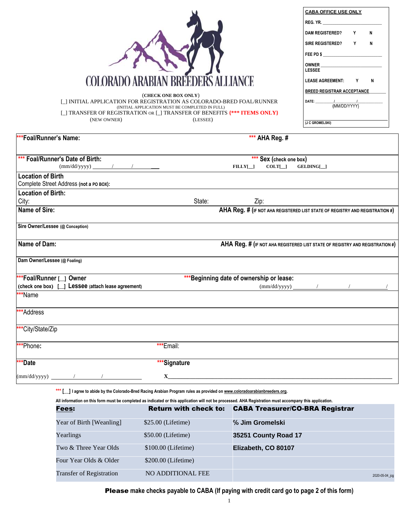## 1 Please **make checks payable to CABA (If paying with credit card go to page 2 of this form)**

|                                                                           |                                                 |                                          |                         | <b>CABA OFFICE USE ONLY</b>                                                     |
|---------------------------------------------------------------------------|-------------------------------------------------|------------------------------------------|-------------------------|---------------------------------------------------------------------------------|
|                                                                           |                                                 |                                          |                         | REG. YR.                                                                        |
|                                                                           |                                                 |                                          |                         | <b>DAM REGISTERED?</b><br>Y<br>N                                                |
|                                                                           |                                                 |                                          |                         | $\mathsf{N}$<br>SIRE REGISTERED?<br>Y                                           |
|                                                                           |                                                 |                                          |                         | FEE PD \$                                                                       |
|                                                                           |                                                 |                                          |                         |                                                                                 |
|                                                                           |                                                 |                                          |                         | <b>LESSEE</b>                                                                   |
| <b>COLORADO ARABIAN BREEDERS ALLIANCE</b>                                 |                                                 |                                          |                         | <b>LEASE AGREEMENT:</b><br>Y<br>N                                               |
|                                                                           |                                                 |                                          |                         | <b>BREED REGISTRAR ACCEPTANCE</b>                                               |
| ] INITIAL APPLICATION FOR REGISTRATION AS COLORADO-BRED FOAL/RUNNER       | (CHECK ONE BOX ONLY)                            |                                          |                         | $\frac{1}{\sqrt{1-\frac{1}{2}}}\frac{1}{\sqrt{1-\frac{1}{2}}}$<br>DATE: _______ |
| [_] TRANSFER OF REGISTRATION OR [_] TRANSFER OF BENEFITS {*** ITEMS ONLY} | (INITIAL APPLICATION MUST BE COMPLETED IN FULL) |                                          |                         | (MM/DD/YYY)                                                                     |
| (NEW OWNER)                                                               | (LESSEE)                                        |                                          |                         | (J C GROMELSKI)                                                                 |
|                                                                           |                                                 |                                          |                         |                                                                                 |
| ***Foal/Runner's Name:                                                    |                                                 |                                          | *** AHA Reg. #          |                                                                                 |
|                                                                           |                                                 |                                          |                         |                                                                                 |
| *** Foal/Runner's Date of Birth:                                          |                                                 |                                          | *** Sex (check one box) |                                                                                 |
| $(mm/dd/yyyy)$ / /                                                        |                                                 | $FLLY[\_]$                               | $COLT[\_]$              | GELDING[_]                                                                      |
| <b>Location of Birth</b><br>Complete Street Address (not a PO BOX):       |                                                 |                                          |                         |                                                                                 |
| <b>Location of Birth:</b>                                                 |                                                 |                                          |                         |                                                                                 |
| City:                                                                     | State:                                          | Zip:                                     |                         |                                                                                 |
| <b>Name of Sire:</b>                                                      |                                                 |                                          |                         | AHA Reg. # (IF NOT AHA REGISTERED LIST STATE OF REGISTRY AND REGISTRATION #)    |
| Sire Owner/Lessee (@ Conception)                                          |                                                 |                                          |                         |                                                                                 |
|                                                                           |                                                 |                                          |                         |                                                                                 |
| Name of Dam:                                                              |                                                 |                                          |                         | AHA Reg. # (IF NOT AHA REGISTERED LIST STATE OF REGISTRY AND REGISTRATION #)    |
|                                                                           |                                                 |                                          |                         |                                                                                 |
| Dam Owner/Lessee (@ Foaling)                                              |                                                 |                                          |                         |                                                                                 |
| ***Foal/Runner [__] Owner                                                 |                                                 | ***Beginning date of ownership or lease: |                         |                                                                                 |
| (check one box) $\Box$ Lessee (attach lease agreement)                    |                                                 |                                          |                         | $(mm/dd/yyyy)$ /                                                                |
| **Name                                                                    |                                                 |                                          |                         |                                                                                 |
|                                                                           |                                                 |                                          |                         |                                                                                 |
| ***Address                                                                |                                                 |                                          |                         |                                                                                 |
| ***City/State/Zip                                                         |                                                 |                                          |                         |                                                                                 |
| ***Phone:                                                                 | ***Email:                                       |                                          |                         |                                                                                 |
| ***Date                                                                   | ***Signature                                    |                                          |                         |                                                                                 |
|                                                                           |                                                 |                                          |                         |                                                                                 |
| $(mm/dd/yyyy)$ / /                                                        | $\mathbf X$                                     |                                          |                         |                                                                                 |
|                                                                           |                                                 |                                          |                         |                                                                                 |

\*\*\* [iiid] I agree to abide by the Colorado-Bred Racing Arabian Program rules as provided on [www.coloradoarabianbreeders.org.](http://www.coloradoarabianbreeders.org/)

All information on this form must be completed as indicated or this application will not be processed. AHA Registration must accompany this application.

## Fees: Return with check to: CABA Treasurer/CO-BRA Registrar

| Year of Birth [Weanling]        | $$25.00$ (Lifetime)  | % Jim Gromelski      |
|---------------------------------|----------------------|----------------------|
| Yearlings                       | $$50.00$ (Lifetime)  | 35251 County Road 17 |
| Two & Three Year Olds           | $$100.00$ (Lifetime) | Elizabeth, CO 80107  |
| Four Year Olds & Older          | $$200.00$ (Lifetime) |                      |
| <b>Transfer of Registration</b> | NO ADDITIONAL FEE    | 2020-05-04_jcg       |